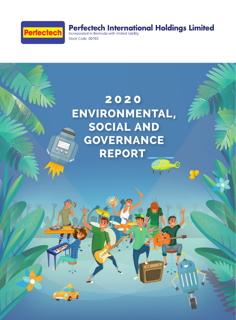

# **Perfectech International Holdings Limited**<br>Incorporated in Bermuda with limited liability

Stock Code: 00765

## 2020 **ENVIRONMENTAL, SOCIAL AND GOVERNANCE** REPORT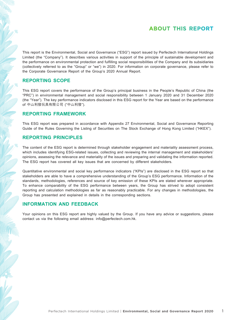## **ABOUT THIS REPORT**

This report is the Environmental, Social and Governance ("ESG") report issued by Perfectech International Holdings Limited (the "Company"). It describes various activities in support of the principle of sustainable development and the performance on environmental protection and fulfilling social responsibilities of the Company and its subsidiaries (collectively referred to as the "Group" or "we") in 2020. For information on corporate governance, please refer to the Corporate Governance Report of the Group's 2020 Annual Report.

#### **REPORTING SCOPE**

This ESG report covers the performance of the Group's principal business in the People's Republic of China (the "PRC") in environmental management and social responsibility between 1 January 2020 and 31 December 2020 (the "Year"). The key performance indicators disclosed in this ESG report for the Year are based on the performance of 中山利發玩具有限公司 ("中山利發").

#### **REPORTING FRAMEWORK**

This ESG report was prepared in accordance with Appendix 27 Environmental, Social and Governance Reporting Guide of the Rules Governing the Listing of Securities on The Stock Exchange of Hong Kong Limited ("HKEX").

#### **REPORTING PRINCIPLES**

The content of the ESG report is determined through stakeholder engagement and materiality assessment process, which includes identifying ESG-related issues, collecting and reviewing the internal management and stakeholders' opinions, assessing the relevance and materiality of the issues and preparing and validating the information reported. The ESG report has covered all key issues that are concerned by different stakeholders.

Quantitative environmental and social key performance indicators ("KPIs") are disclosed in the ESG report so that stakeholders are able to have a comprehensive understanding of the Group's ESG performance. Information of the standards, methodologies, references and source of key emission of these KPIs are stated wherever appropriate. To enhance comparability of the ESG performance between years, the Group has strived to adopt consistent reporting and calculation methodologies as far as reasonably practicable. For any changes in methodologies, the Group has presented and explained in details in the corresponding sections.

#### **INFORMATION AND FEEDBACK**

Your opinions on this ESG report are highly valued by the Group. If you have any advice or suggestions, please contact us via the following email address: info@perfectech.com.hk.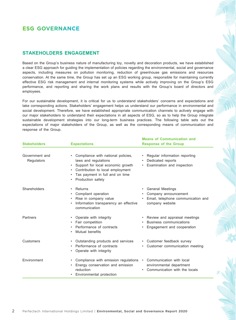## **ESG GOVERNANCE**

#### **STAKEHOLDERS ENGAGEMENT**

Based on the Group's business nature of manufacturing toy, novelty and decoration products, we have established a clear ESG approach for guiding the implementation of policies regarding the environmental, social and governance aspects, including measures on pollution monitoring, reduction of greenhouse gas emissions and resources conservation. At the same time, the Group has set up an ESG working group, responsible for maintaining currently effective ESG risk management and internal monitoring systems while actively improving on the Group's ESG performance, and reporting and sharing the work plans and results with the Group's board of directors and employees.

For our sustainable development, it is critical for us to understand stakeholders' concerns and expectations and take corresponding actions. Stakeholders' engagement helps us understand our performance in environmental and social development. Therefore, we have established appropriate communication channels to actively engage with our major stakeholders to understand their expectations in all aspects of ESG, so as to help the Group integrate sustainable development strategies into our long-term business practices. The following table sets out the expectations of major stakeholders of the Group, as well as the corresponding means of communication and response of the Group.

**Means of Communication and** 

| <b>Stakeholders</b>          | <b>Expectations</b>                                                                                                                                                                                                          | Means Of Communication and<br><b>Response of the Group</b>                                              |  |  |
|------------------------------|------------------------------------------------------------------------------------------------------------------------------------------------------------------------------------------------------------------------------|---------------------------------------------------------------------------------------------------------|--|--|
| Government and<br>Regulators | Compliance with national policies,<br>$\bullet$<br>laws and regulations<br>Support for local economic growth<br>$\bullet$<br>• Contribution to local employment<br>Tax payment in full and on time<br>Production safety<br>٠ | Regular information reporting<br>Dedicated reports<br>Examination and inspection                        |  |  |
| Shareholders                 | Returns<br>$\bullet$<br>Compliant operation<br>٠<br>Rise in company value<br>٠<br>Information transparency an effective<br>$\bullet$<br>communication                                                                        | • General Meetings<br>Company announcement<br>Email, telephone communication and<br>company website     |  |  |
| Partners                     | • Operate with integrity<br>Fair competition<br>Performance of contracts<br>Mutual benefits                                                                                                                                  | • Review and appraisal meetings<br>Business communications<br>Engagement and cooperation                |  |  |
| Customers                    | Outstanding products and services<br>$\bullet$<br>Performance of contracts<br>٠<br>Operate with integrity<br>٠                                                                                                               | • Customer feedback survey<br>Customer communication meeting                                            |  |  |
| Environment                  | Compliance with emission regulations<br>$\bullet$<br>Energy conservation and emission<br>reduction<br>Environmental protection                                                                                               | Communication with local<br>$\bullet$<br>environmental department<br>Communication with the locals<br>٠ |  |  |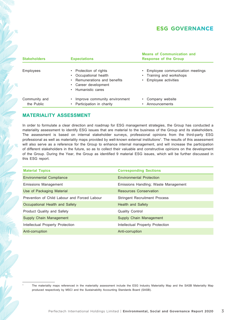## **ESG GOVERNANCE**

| <b>Stakeholders</b>         | <b>Expectations</b>                                                                                                                | <b>Means of Communication and</b><br><b>Response of the Group</b>                |
|-----------------------------|------------------------------------------------------------------------------------------------------------------------------------|----------------------------------------------------------------------------------|
| Employees                   | • Protection of rights<br>Occupational health<br>Remunerations and benefits<br>Career development<br>$\bullet$<br>Humanistic cares | Employee communication meetings<br>Training and workshops<br>Employee activities |
| Community and<br>the Public | Improve community environment<br>Participation in charity                                                                          | Company website<br>Announcements                                                 |

#### **MATERIALITY ASSESSMENT**

1

In order to formulate a clear direction and roadmap for ESG management strategies, the Group has conducted a materiality assessment to identify ESG issues that are material to the business of the Group and its stakeholders. The assessment is based on internal stakeholder surveys, professional opinions from the third-party ESG professional as well as materiality maps provided by well-known external institutions1. The results of this assessment will also serve as a reference for the Group to enhance internal management, and will increase the participation of different stakeholders in the future, so as to collect their valuable and constructive opinions on the development of the Group. During the Year, the Group as identified 9 material ESG issues, which will be further discussed in this ESG report.

| <b>Material Topics</b>                       | <b>Corresponding Sections</b>        |
|----------------------------------------------|--------------------------------------|
| <b>Environmental Compliance</b>              | Environmental Protection             |
| Emissions Management                         | Emissions Handling; Waste Management |
| Use of Packaging Material                    | Resources Conservation               |
| Prevention of Child Labour and Forced Labour | <b>Stringent Recruitment Process</b> |
| Occupational Health and Safety               | <b>Health and Safety</b>             |
| Product Quality and Safety                   | <b>Quality Control</b>               |
| Supply Chain Management                      | Supply Chain Management              |
| Intellectual Property Protection             | Intellectual Property Protection     |
| Anti-corruption                              | Anti-corruption                      |

The materiality maps referenced in the materiality assessment include the ESG Industry Materiality Map and the SASB Materiality Map produced respectively by MSCI and the Sustainability Accounting Standards Board (SASB).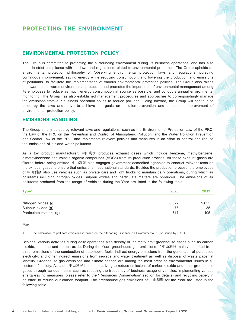#### **ENVIRONMENTAL PROTECTION POLICY**

The Group is committed to protecting the surrounding environment during its business operations, and has also been in strict compliance with the laws and regulations related to environmental protection. The Group upholds an environmental protection philosophy of "observing environmental protection laws and regulations, pursuing continuous improvement, saving energy while reducing consumption, and lowering the production and emissions of pollutants" to facilitate the implementation of various environmental protection policies. The Group also raises the awareness towards environmental protection and promotes the importance of environmental management among its employees to reduce as much energy consumption at source as possible, and conducts annual environmental monitoring. The Group has also established management procedures and approaches to correspondingly manage the emissions from our business operation so as to reduce pollution. Going forward, the Group will continue to abide by the laws and strive to achieve the goals on pollution prevention and continuous improvement of environmental protection policy.

#### **EMISSIONS HANDLING**

The Group strictly abides by relevant laws and regulations, such as the Environmental Protection Law of the PRC, the Law of the PRC on the Prevention and Control of Atmospheric Pollution, and the Water Pollution Prevention and Control Law of the PRC, and implements relevant policies and measures in an effort to control and reduce the emissions of air and water pollutants.

As a toy product manufacturer, 中山利發 produces exhaust gases which include benzene, methylbenzene, dimethylbenzene and volatile organic compounds (VOCs) from its production process. All these exhaust gases are filtered before being emitted. 中山利發 also engages government accredited agencies to conduct relevant tests on the exhaust gases to ensure that emissions meet national standards. Besides the production process, the employees of 中山利發 also use vehicles such as private cars and light trucks to maintain daily operations, during which air pollutants including nitrogen oxides, sulphur oxides and particulate matters are produced. The emissions of air pollutants produced from the usage of vehicles during the Year are listed in the following table.

| Type <sup>1</sup>       | 2020  | 2019  |
|-------------------------|-------|-------|
|                         |       |       |
| Nitrogen oxides (g)     | 8,522 | 5,655 |
| Sulphur oxides (g)      | 76    | 35    |
| Particulate matters (g) | 717   | 495   |

Note:

1. The calculation of pollutant emissions is based on the "Reporting Guidance on Environmental KPIs" issued by HKEX.

Besides, various activities during daily operations also directly or indirectly emit greenhouse gases such as carbon dioxide, methane and nitrous oxide. During the Year, greenhouse gas emissions of 中山利發 mainly stemmed from direct emissions of the combustion of automobile fuels, indirect energy emissions from the generation of purchased electricity, and other indirect emissions from sewage and water treatment as well as disposal of waste paper at landfills. Greenhouse gas emissions and climate change are among the most pressing environmental issues in all sectors of society. As such, 中山利發 has been striving to reduce emissions of carbon dioxide and other greenhouse gases through various means such as reducing the frequency of business usage of vehicles, implementing various energy-saving measures (please refer to the "Resources Conservation" section for details) and recycling paper, in an effort to reduce our carbon footprint. The greenhouse gas emissions of 中山利發 for the Year are listed in the following table.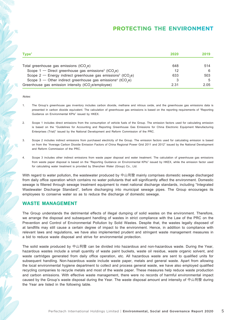| Type <sup>1</sup>                                                                      | 2020 | 2019 |
|----------------------------------------------------------------------------------------|------|------|
|                                                                                        |      |      |
| Total greenhouse gas emissions (tCO <sub>2</sub> e)                                    | 648  | 514  |
| Scope $1$ – Direct greenhouse gas emissions <sup>2</sup> (tCO <sub>2</sub> e)          | 12   |      |
| Scope $2$ – Energy indirect greenhouse gas emissions <sup>3</sup> (tCO <sub>2</sub> e) | 633  | 503  |
| Scope $3$ – Other indirect greenhouse gas emissions <sup>4</sup> (tCO <sub>2</sub> e)  |      |      |
| Greenhouse gas emission intensity (tCO <sub>2</sub> e/employee)                        | 2.31 | 2.05 |

Notes:

- 1. The Group's greenhouse gas inventory includes carbon dioxide, methane and nitrous oxide, and the greenhouse gas emissions data is presented in carbon dioxide equivalent. The calculation of greenhouse gas emissions is based on the reporting requirements of "Reporting Guidance on Environmental KPIs" issued by HKEX.
- 2. Scope 1 includes direct emissions from the consumption of vehicle fuels of the Group. The emission factors used for calculating emission is based on the "Guidelines for Accounting and Reporting Greenhouse Gas Emissions for China Electronic Equipment Manufacturing Enterprises (Trial)" issued by the National Development and Reform Commission of the PRC.
- 3. Scope 2 includes indirect emissions from purchased electricity of the Group. The emission factors used for calculating emission is based on from the "Average Carbon Dioxide Emission Factors of China Regional Power Grid 2011 and 2012" issued by the National Development and Reform Commission of the PRC.
- 4. Scope 3 includes other indirect emissions from waste paper disposal and water treatment. The calculation of greenhouse gas emissions from waste paper disposal is based on the "Reporting Guidance on Environmental KPIs" issued by HKEX, while the emission factor used for calculating water treatment is provided by Shenzhen Water (Group) Co., Ltd.

With regard to water pollution, the wastewater produced by 中山利發 mainly comprises domestic sewage discharged from daily office operation which contains no water pollutants that will significantly affect the environment. Domestic sewage is filtered through sewage treatment equipment to meet national discharge standards, including "Integrated Wastewater Discharge Standard", before discharging into municipal sewage pipes. The Group encourages its employees to conserve water so as to reduce the discharge of domestic sewage.

#### **WASTE MANAGEMENT**

The Group understands the detrimental effects of illegal dumping of solid wastes on the environment. Therefore, we arrange the disposal and subsequent handling of wastes in strict compliance with the Law of the PRC on the Prevention and Control of Environmental Pollution by Solid Wastes. Despite that, the wastes legally disposed of at landfills may still cause a certain degree of impact to the environment. Hence, in addition to compliance with relevant laws and regulations, we have also implemented prudent and stringent waste management measures in a bid to reduce waste disposal and strive for environmental protection.

The solid waste produced by 中山利發 can be divided into hazardous and non-hazardous waste. During the Year, hazardous wastes include a small quantity of waste paint buckets, waste oil residue, waste organic solvent, and waste cartridges generated from daily office operation, etc. All hazardous waste are sent to qualified units for subsequent handling. Non-hazardous waste include waste paper, metals and general waste. Apart from allowing the local environmental hygiene department to collect and process general waste, we have also employed qualified recycling companies to recycle metals and most of the waste paper. These measures help reduce waste production and carbon emissions. With effective waste management, there were no records of harmful environmental impact caused by the Group's waste disposal during the Year. The waste disposal amount and intensity of 中山利發 during the Year are listed in the following table.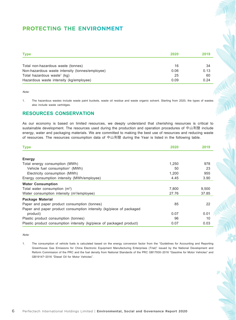| <b>Type</b>                                     | 2020 | 2019 |
|-------------------------------------------------|------|------|
|                                                 |      |      |
| Total non-hazardous waste (tonnes)              | 16   | 34   |
| Non-hazardous waste intensity (tonnes/employee) | 0.06 | 0.13 |
| Total hazardous waste <sup>1</sup> (kg)         | 25   | 60   |
| Hazardous waste intensity (kg/employee)         | 0.09 | 0.24 |

Note:

1. The hazardous wastes include waste paint buckets, waste oil residue and waste organic solvent. Starting from 2020, the types of wastes also include waste cartridges.

#### **RESOURCES CONSERVATION**

As our economy is based on limited resources, we deeply understand that cherishing resources is critical to sustainable development. The resources used during the production and operation procedures of 中山利發 include energy, water and packaging materials. We are committed to making the best use of resources and reducing waste of resources. The resources consumption data of 中山利發 during the Year is listed in the following table.

| <b>Type</b>                                                          | 2020  | 2019  |
|----------------------------------------------------------------------|-------|-------|
|                                                                      |       |       |
| <b>Energy</b>                                                        |       |       |
| Total energy consumption (MWh)                                       | 1,250 | 978   |
| Vehicle fuel consumption <sup>1</sup> (MWh)                          | 50    | 23    |
| Electricity consumption (MWh)                                        | 1,200 | 955   |
| Energy consumption intensity (MWh/employee)                          | 4.45  | 3.90  |
| <b>Water Consumption</b>                                             |       |       |
| Total water consumption $(m^3)$                                      | 7.800 | 9,500 |
| Water consumption intensity (m <sup>3</sup> /employee)               | 27.76 | 37.85 |
| <b>Package Material</b>                                              |       |       |
| Paper and paper product consumption (tonnes)                         | 85    | 22    |
| Paper and paper product consumption intensity (kg/piece of packaged  |       |       |
| product)                                                             | 0.07  | 0.01  |
| Plastic product consumption (tonnes)                                 | 96    | 10    |
| Plastic product consumption intensity (kg/piece of packaged product) | 0.07  | 0.03  |

#### Note:

1. The consumption of vehicle fuels is calculated based on the energy conversion factor from the "Guidelines for Accounting and Reporting Greenhouse Gas Emissions for China Electronic Equipment Manufacturing Enterprises (Trial)" issued by the National Development and Reform Commission of the PRC and the fuel density from National Standards of the PRC GB17930–2016 "Gasoline for Motor Vehicles" and GB19147–2016 "Diesel Oil for Motor Vehicles".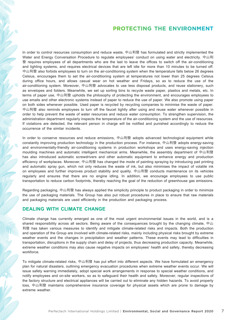In order to control resources consumption and reduce waste, 中山利發 has formulated and strictly implemented the Water and Energy Conversation Procedure to regulate employees' conduct on using water and electricity. 中山利 發 requires employees of all departments who are the last to leave the offices to switch off the air-conditioning and lighting systems, and requires electrical devices that are left idle for more than 10 minutes to be turned off. 中山利發 also forbids employees to turn on the air-conditioning system when the temperature falls below 26 degrees Celsius, encourages them to set the air-conditioning system at temperatures not lower than 25 degrees Celsius during office hours, and allows casual wear on hot weather and Fridays, so as to reduce the use of the air-conditioning system. Moreover, 中山利發 advocates to use less disposal products, and reuse stationery, such as envelopes and folders. Meanwhile, we set up sorting bins to recycle waste paper, plastics and metals, etc. In terms of paper use, 中山利發 upholds the philosophy of protecting the environment, and encourages employees to use emails and other electronic systems instead of paper to reduce the use of paper. We also promote using paper on both sides whenever possible. Used paper is recycled by recycling companies to minimise the waste of paper. 中山利發 also reminds employees to turn off the faucet tightly after using and reuse water whenever possible in order to help prevent the waste of water resources and reduce water consumption. To strengthen supervision, the administration department regularly inspects the temperature of the air-conditioning system and the use of resources. If violations are detected, the relevant person in charge will be notified and punished accordingly to reduce the occurrence of the similar incidents.

In order to conserve resources and reduce emissions, 中山利發 adopts advanced technological equipment while constantly improving production technology in the production process. For instance, 中山利發 adopts energy-saving and environmentally-friendly air-conditioning systems in production workshops and uses energy-saving injection moulding machines and automatic intelligent mechanical arms. Meanwhile, the assembly department of 中山利發 has also introduced automatic screwdrivers and other automatic equipment to enhance energy and production efficiency of workplaces. Moreover, 中山利發 has changed the mode of painting spraying by introducing pad printing and automatic spray gun, which not only reduces the waste of ink, but also minimises the impact of volatile ink on employees and further improves product stability and quality. 中山利發 conducts maintenance on its vehicles regularly and ensures that there are no engine idling. In addition, we encourage employees to use public transportation to reduce carbon footprints, thereby reaching the goal of the reduction of greenhouse gas emissions.

Regarding packaging, 中山利發 has always applied the simplicity principle to product packaging in order to minimize the use of packaging materials. The Group has also put robust procedures in place to ensure that raw materials and packaging materials are used efficiently in the production and packaging process.

#### **DEALING WITH CLIMATE CHANGE**

Climate change has currently emerged as one of the most urgent environmental issues in the world, and is a shared responsibility across all sectors. Being aware of the consequences brought by the changing climate, 中山 利發 has taken various measures to identify and mitigate climate-related risks and impacts. Both the production and operation of the Group are involved with climate-related risks, mainly including physical risks brought by extreme weather events and the changes in precipitation and weather patterns. These events may lead to difficulties in transportation, disruptions in the supply chain and delay of projects, thus decreasing production capacity. Meanwhile, extreme weather conditions may also cause negative impacts on employees' health and safety, thereby decreasing workforce.

To mitigate climate-related risks, 中山利發 has put effort into different aspects. We have formulated an emergency plan for natural disasters, outlining emergency evacuation procedures when extreme weather events occur. We will issue safety warning immediately, adopt special work arrangements in response to special weather conditions, and notify employees and on-site workers, so as to safeguard their health and safety. Moreover, regular inspections of the factory structure and electrical appliances will be carried out to eliminate any hidden hazards. To avoid property loss, 中山利發 maintains comprehensive insurance coverage for physical assets which are prone to damage by extreme weather.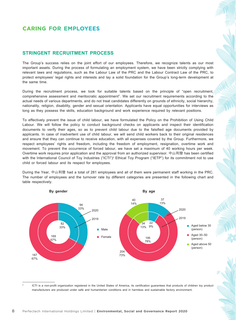#### **STRINGENT RECRUITMENT PROCESS**

The Group's success relies on the joint effort of our employees. Therefore, we recognize talents as our most important assets. During the process of formulating an employment system, we have been strictly complying with relevant laws and regulations, such as the Labour Law of the PRC and the Labour Contract Law of the PRC, to protect employees' legal rights and interests and lay a solid foundation for the Group's long-term development at the same time.

During the recruitment process, we look for suitable talents based on the principle of "open recruitment, comprehensive assessment and meritocratic appointment". We set our recruitment requirements according to the actual needs of various departments, and do not treat candidates differently on grounds of ethnicity, social hierarchy, nationality, religion, disability, gender and sexual orientation. Applicants have equal opportunities for interviews as long as they possess the skills, education background and work experience required by relevant positions.

To effectively prevent the issue of child labour, we have formulated the Policy on the Prohibition of Using Child Labour. We will follow the policy to conduct background checks on applicants and inspect their identification documents to verify their ages, so as to prevent child labour due to the falsified age documents provided by applicants. In case of inadvertent use of child labour, we will send child workers back to their original residences and ensure that they can continue to receive education, with all expenses covered by the Group. Furthermore, we respect employees' rights and freedom, including the freedom of employment, resignation, overtime work and movement. To prevent the occurrence of forced labour, we have set a maximum of 40 working hours per week. Overtime work requires prior application and the approval from an authorized supervisor. 中山利發 has been certified with the International Council of Toy Industries ("ICTI")<sup>2</sup> Ethical Toy Program ("IETP") for its commitment not to use child or forced labour and its respect for employees.

During the Year, 中山利發 had a total of 281 employees and all of them were permanent staff working in the PRC. The number of employees and the turnover rate by different categories are presented in the following chart and table respectively.



<sup>2</sup> ICTI is a non-profit organization registered in the United States of America, its certification guarantees that products of children toy product manufacturers are produced under safe and humanitarian conditions and in harmless and sustainable factory environment.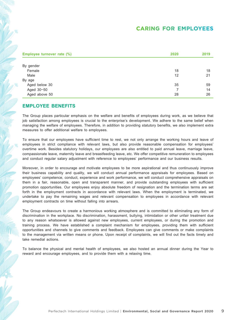| Employee turnover rate (%) | 2020 | 2019 |
|----------------------------|------|------|
|                            |      |      |
| By gender                  |      |      |
| Female                     | 18   | 18   |
| Male                       | 12   | 21   |
| By age                     |      |      |
| Aged below 30              | 35   | 59   |
| Aged 30-50                 | 7    | 14   |
| Aged above 50              | 28   | 26   |

#### **EMPLOYEE BENEFITS**

The Group places particular emphasis on the welfare and benefits of employees during work, as we believe that job satisfaction among employees is crucial to the enterprise's development. We adhere to the same belief when managing the welfare of employees. Therefore, in addition to providing statutory benefits, we also implement extra measures to offer additional welfare to employees.

To ensure that our employees have sufficient time to rest, we not only arrange the working hours and leave of employees in strict compliance with relevant laws, but also provide reasonable compensation for employees' overtime work. Besides statutory holidays, our employees are also entitled to paid annual leave, marriage leave, compassionate leave, maternity leave and breastfeeding leave, etc. We offer competitive remuneration to employees and conduct regular salary adjustment with reference to employees' performance and our business results.

Moreover, in order to encourage and motivate employees to be more aspirational and thus continuously improve their business capability and quality, we will conduct annual performance appraisals for employees. Based on employees' competence, conduct, experience and work performance, we will conduct comprehensive appraisals on them in a fair, reasonable, open and transparent manner, and provide outstanding employees with sufficient promotion opportunities. Our employees enjoy absolute freedom of resignation and the termination terms are set forth in the employment contracts in accordance with relevant laws. When the employment is terminated, we undertake to pay the remaining wages and relevant compensation to employees in accordance with relevant employment contracts on time without falling into arrears.

The Group endeavours to create a harmonious working atmosphere and is committed to eliminating any form of discrimination in the workplace. No discrimination, harassment, bullying, intimidation or other unfair treatment due to any reason whatsoever is allowed against new employees, current employees, or during the promotion and training process. We have established a complaint mechanism for employees, providing them with sufficient opportunities and channels to give comments and feedback. Employees can give comments or make complaints to the management via written means or phone. Upon receipt of complaints, we will find out the facts timely and take remedial actions.

To balance the physical and mental health of employees, we also hosted an annual dinner during the Year to reward and encourage employees, and to provide them with a relaxing time.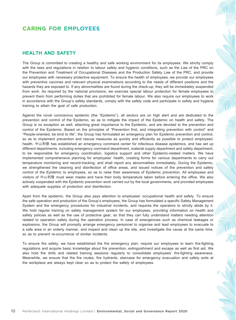### **HEALTH AND SAFETY**

The Group is committed to creating a healthy and safe working environment for its employees. We strictly comply with the laws and regulations in relation to labour safety and hygienic conditions, such as the Law of the PRC on the Prevention and Treatment of Occupational Diseases and the Production Safety Law of the PRC, and provide our employees with necessary protective equipment. To ensure the health of employees, we provide our employees with preventive vaccines and relevant physical examinations according to the needs of different positions and the hazards they are exposed to. If any abnormalities are found during the check-up, they will be immediately suspended from work. As required by the national provisions, we exercise special labour protection for female employees to prevent them from performing duties that are prohibited for female labour. We also require our employees to work in accordance with the Group's safety standards, comply with the safety code and participate in safety and hygiene training to attain the goal of safe production.

Against the novel coronavirus epidemic (the "Epidemic"), all sectors are on high alert and are dedicated to the prevention and control of the Epidemic, so as to mitigate the impact of the Epidemic on health and safety. The Group is no exception as well, attaching great importance to the Epidemic, and are devoted to the prevention and control of the Epidemic. Based on the principles of "Prevention first, and integrating prevention with control" and "People-oriented, be kind to life", the Group has formulated an emergency plan for Epidemic prevention and control, so as to implement prevention and rescue measures as quickly and efficiently as possible to protect employees' health. 中山利發 has established an emergency command center for infectious disease epidemics, and has set up different departments, including emergency command department, material supply department and safety department, to be responsible for emergency coordination, logistics support and other Epidemic-related matters. We have implemented comprehensive planning for employees' health, creating forms for various departments to carry out temperature monitoring and record-tracking, and shall report any abnormalities immediately. During the Epidemic, we strengthened the cleaning and disinfection of office areas, and issued notices of the prevention and safety control of the Epidemic to employees, so as to raise their awareness of Epidemic prevention. All employees and visitors of 中山利發 must wear masks and have their body temperature taken before entering the office. We also actively cooperated with the Epidemic prevention work carried out by the local governments, and provided employees with adequate supplies of protection and disinfection.

Apart from the epidemic, the Group also pays attention to employees' occupational health and safety. To ensure the safe operation and production of the Group's employees, the Group has formulated a specific Safety Management System and the emergency procedures for industrial incidents, and requires the operators to strictly abide by it. We hold regular training on safety management system for our employees, providing information on health and safety policies as well as the use of protective gear, so that they can fully understand matters needing attention related to operation safety during the operation process. In case of emergencies such as chemical leakages or explosions, the Group will promptly arrange emergency personnel to organise and lead employees to evacuate to a safe area in an orderly manner, and inspect and clean up the site, and investigate the cause at the same time, so as to prevent re-occurrence of similar incidents.

To ensure fire safety, we have established the fire emergency plan, require our employees to learn fire-fighting regulations and acquire basic knowledge about fire prevention, extinguishment and escape as well as first aid. We also hold fire drills and related training sessions regularly to consolidate employees' fire-fighting awareness. Meanwhile, we ensure that the fire routes, fire hydrants, staircase for emergency evacuation and safety exits at the workplace are always kept clear so as to protect the safety of employees.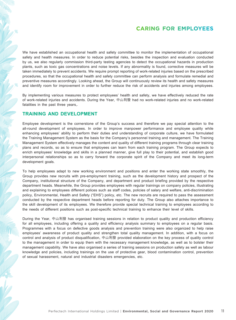We have established an occupational health and safety committee to monitor the implementation of occupational safety and health measures. In order to reduce potential risks, besides the inspection and evaluation conducted by us, we also regularly commission third-party testing agencies to detect the occupational hazards in production plants, such as toxic gas concentrations and noise levels. If any abnormality is found, corrective measures will be taken immediately to prevent accidents. We require prompt reporting of work-related injuries based on the prescribed procedures, so that the occupational health and safety committee can perform analysis and formulate remedial and preventive measures accordingly. Looking ahead, the Group will continuously review its health and safety measures and identify room for improvement in order to further reduce the risk of accidents and injuries among employees.

By implementing various measures to protect employees' health and safety, we have effectively reduced the rate of work-related injuries and accidents. During the Year, 中山利發 had no work-related injuries and no work-related fatalities in the past three years,.

#### **TRAINING AND DEVELOPMENT**

Employee development is the cornerstone of the Group's success and therefore we pay special attention to the all-round development of employees. In order to improve manpower performance and employee quality while enhancing employees' ability to perform their duties and understanding of corporate culture, we have formulated the Training Management System as the basis for the Company's personnel training and management. The Training Management System effectively manages the content and quality of different training programs through clear training plans and records, so as to ensure that employees can learn from each training program. The Group expects to enrich employees' knowledge and skills in a planned manner, give full play to their potential, and establish good interpersonal relationships so as to carry forward the corporate spirit of the Company and meet its long-term development goals.

To help employees adapt to new working environment and positions and enter the working state smoothly, the Group provides new recruits with pre-employment training, such as the development history and prospect of the Company, institutional structure of the Company, and department and product briefing provided by the respective department heads. Meanwhile, the Group provides employees with regular trainings on company policies, illustrating and explaining to employees different polices such as staff codes, policies of salary and welfare, anti-discrimination policy, Environmental, Health and Safety ("EHS") policy, etc. The new recruits are required to pass the assessment conducted by the respective department heads before reporting for duty. The Group also attaches importance to the skill development of its employees. We therefore provide special technical training to employees according to the needs of different positions such as post-specific technical training to enhance their level of skills.

During the Year, 中山利發 has organised training sessions in relation to product quality and production efficiency for all employees, including offering a quality and efficiency analysis summary to employees on a regular basis. Programmes with a focus on defective goods analysis and prevention training were also organized to help raise employees' awareness of product quality and strengthen total quality management. In addition, with a focus on control and analysis of product disqualification, 中山利發 provided elaboration on the key process of quality control to the management in order to equip them with the necessary management knowledge, as well as to bolster their management capability. We have also organised a series of training sessions on production safety as well as labour knowledge and policies, including trainings on the use of protective gear, blood contamination control, prevention of sexual harassment, natural and industrial disasters emergencies, etc.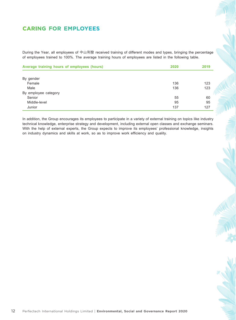During the Year, all employees of 中山利發 received training of different modes and types, bringing the percentage of employees trained to 100%. The average training hours of employees are listed in the following table.

| Average training hours of employees (hours) | 2020 | 2019 |
|---------------------------------------------|------|------|
|                                             |      |      |
| By gender                                   |      |      |
| Female                                      | 136  | 123  |
| Male                                        | 136  | 123  |
| By employee category                        |      |      |
| Senior                                      | 55   | 60   |
| Middle-level                                | 95   | 95   |
| Junior                                      | 137  | 127  |

In addition, the Group encourages its employees to participate in a variety of external training on topics like industry technical knowledge, enterprise strategy and development, including external open classes and exchange seminars. With the help of external experts, the Group expects to improve its employees' professional knowledge, insights on industry dynamics and skills at work, so as to improve work efficiency and quality.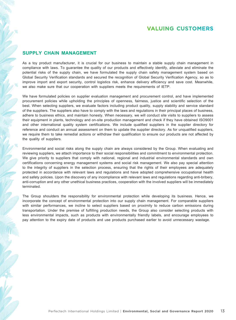## **VALUING CUSTOMERS**

#### **SUPPLY CHAIN MANAGEMENT**

As a toy product manufacturer, it is crucial for our business to maintain a stable supply chain management in compliance with laws. To guarantee the quality of our products and effectively identify, alleviate and eliminate the potential risks of the supply chain, we have formulated the supply chain safety management system based on Global Security Verification standards and secured the recognition of Global Security Verification Agency, so as to improve import and export security, control logistics risk, enhance delivery efficiency and save cost. Meanwhile, we also make sure that our cooperation with suppliers meets the requirements of IETP.

We have formulated policies on supplier evaluation management and procurement control, and have implemented procurement policies while upholding the principles of openness, fairness, justice and scientific selection of the best. When selecting suppliers, we evaluate factors including product quality, supply stability and service standard of the suppliers. The suppliers also have to comply with the laws and regulations in their principal places of business, adhere to business ethics, and maintain honesty. When necessary, we will conduct site visits to suppliers to assess their equipment in plants, technology and on-site production management and check if they have obtained ISO9001 and other international quality system certifications. We include qualified suppliers in the supplier directory for reference and conduct an annual assessment on them to update the supplier directory. As for unqualified suppliers, we require them to take remedial actions or withdraw their qualification to ensure our products are not affected by the quality of suppliers.

Environmental and social risks along the supply chain are always considered by the Group. When evaluating and reviewing suppliers, we attach importance to their social responsibilities and commitment to environmental protection. We give priority to suppliers that comply with national, regional and industrial environmental standards and own certifications concerning energy management systems and social risk management. We also pay special attention to the integrity of suppliers in the selection process, ensuring that the rights of their employees are adequately protected in accordance with relevant laws and regulations and have adopted comprehensive occupational health and safety policies. Upon the discovery of any incompliance with relevant laws and regulations regarding anti-bribery, anti-corruption and any other unethical business practices, cooperation with the involved suppliers will be immediately terminated.

The Group shoulders the responsibility for environmental protection while developing its business. Hence, we incorporate the concept of environmental protection into our supply chain management. For comparable suppliers with similar performances, we incline to select suppliers based on proximity to reduce carbon emissions during transportation. Under the premise of fulfilling production needs, the Group also consider selecting products with less environmental impacts, such as products with environmentally friendly labels, and encourage employees to pay attention to the expiry date of products and use products purchased earlier to avoid unnecessary wastage.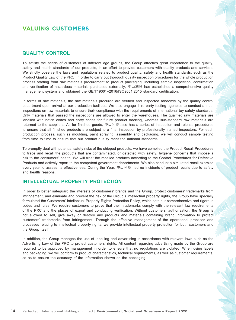## **VALUING CUSTOMERS**

#### **QUALITY CONTROL**

To satisfy the needs of customers of different age groups, the Group attaches great importance to the quality, safety and health standards of our products, in an effort to provide customers with quality products and services. We strictly observe the laws and regulations related to product quality, safety and health standards, such as the Product Quality Law of the PRC. In order to carry out thorough quality inspection procedures for the whole production process starting from raw materials procurement to product packaging, including sample inspection, confirmation and verification of hazardous materials purchased externally, 中山利發 has established a comprehensive quality management system and obtained the GB/T19001–2016/ISO9001:2015 standard certification.

In terms of raw materials, the raw materials procured are verified and inspected randomly by the quality control department upon arrival at our production facilities. We also engage third-party testing agencies to conduct annual inspections on raw materials to ensure their compliance with the requirements of international toy safety standards. Only materials that passed the inspections are allowed to enter the warehouses. The qualified raw materials are labelled with batch codes and entry codes for future product tracking, whereas sub-standard raw materials are returned to the suppliers. As for finished goods, 中山利發 also has a series of inspection and release procedures to ensure that all finished products are subject to a final inspection by professionally trained inspectors. For each production process, such as moulding, paint spraying, assembly and packaging, we will conduct sample testing from time to time to ensure that our product quality meet the national standards.

To promptly deal with potential safety risks of the shipped products, we have compiled the Product Recall Procedures to trace and recall the products that are contaminated, or detected with safety, hygiene concerns that impose a risk to the consumers' health. We will treat the recalled products according to the Control Procedures for Defective Products and actively report to the competent government departments. We also conduct a simulated recall exercise every year to assess its effectiveness. During the Year, 中山利發 had no incidents of product recalls due to safety and health reasons.

#### **INTELLECTUAL PROPERTY PROTECTION**

In order to better safeguard the interests of customers' brands and the Group, protect customers' trademarks from infringement, and eliminate and prevent the risk of the Group's intellectual property rights, the Group have specially formulated the Customers' Intellectual Property Rights Protection Policy, which sets out comprehensive and rigorous codes and rules. We require customers to prove that their trademarks comply with the relevant law requirements of the PRC and the places of export and conducting verification. Without customers' authorisation, the Group is not allowed to sell, give away or destroy any products and materials containing brand information to protect customers' trademarks from infringement. Through the effective management of the operational practices and processes relating to intellectual property rights, we provide intellectual property protection for both customers and the Group itself.

In addition, the Group manages the use of labelling and advertising in accordance with relevant laws such as the Advertising Law of the PRC to protect customers' rights. All content regarding advertising made by the Group are required to be approved by management in order to ensure that no regulations are violated. When using labels and packaging, we will conform to product characteristics, technical requirements, as well as customer requirements, so as to ensure the accuracy of the information shown on the packaging.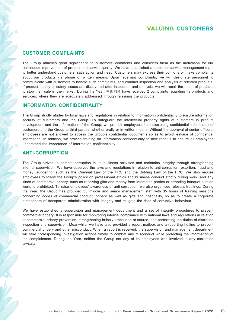## **VALUING CUSTOMERS**

#### **CUSTOMER COMPLAINTS**

The Group attaches great significance to customers' comments and considers them as the motivation for our continuous improvement of product and service quality. We have established a customer service management team to better understand customers' satisfaction and need. Customers may express their opinions or make complaints about our products via phone or written means. Upon receiving complaints, we will designate personnel to communicate with customers to handle such complaints, and conduct inspection and analysis of relevant products. If product quality or safety issues are discovered after inspection and analysis, we will recall the batch of products to stop their sale in the market. During the Year, 中山利發 have received 2 complaints regarding its products and services, where they are adequately addressed through reissuing the products.

#### **INFORMATION CONFIDENTIALITY**

The Group strictly abides by local laws and regulations in relation to information confidentiality to ensure information security of customers and the Group. To safeguard the intellectual property rights of customers in product development and the information of the Group, we prohibit employees from disclosing confidential information of customers and the Group to third parties, whether orally or in written means. Without the approval of senior officers, employees are not allowed to access the Group's confidential documents so as to avoid leakage of confidential information. In addition, we provide training on information confidentiality to new recruits to ensure all employees understand the importance of information confidentiality.

#### **ANTI-CORRUPTION**

The Group strives to combat corruption in its business activities and maintains integrity through strengthening internal supervision. We have observed the laws and regulations in relation to anti-corruption, extortion, fraud and money laundering, such as the Criminal Law of the PRC and the Bidding Law of the PRC. We also require employees to follow the Group's policy on professional ethics and business conduct strictly during work, and any kinds of commercial bribery, such as receiving gifts and money from interested parties or attending banquet outside work, is prohibited. To raise employees' awareness of anti-corruption, we also organised relevant trainings. During the Year, the Group has provided 35 middle and senior management staff with 35 hours of training sessions concerning codes of commercial conduct, bribery as well as gifts and hospitality, so as to create a corporate atmosphere of transparent administration with integrity and mitigate the risks of corruptive behaviour.

We have established a supervision and management department and a set of integrity procedures to prevent commercial bribery. It is responsible for monitoring internal compliance with national laws and regulations in relation to commercial bribery prevention, strengthening bribery precaution at source, and performing the duties of discipline inspection and supervision. Meanwhile, we have also provided a report mailbox and a reporting hotline to prevent commercial bribery and other misconduct. When a report is received, the supervision and management department will take corresponding investigation actions timely to combat any misconduct while protecting the information of the complainants. During the Year, neither the Group nor any of its employees was involved in any corruption lawsuits.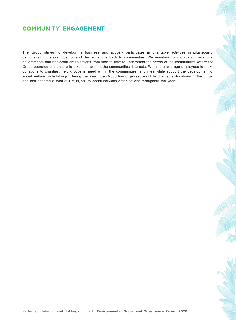## **COMMUNITY ENGAGEMENT**

The Group strives to develop its business and actively participates in charitable activities simultaneously, demonstrating its gratitude for and desire to give back to communities. We maintain communication with local governments and non-profit organizations from time to time to understand the needs of the communities where the Group operates and ensure to take into account the communities' interests. We also encourage employees to make donations to charities, help groups in need within the communities, and meanwhile support the development of social welfare undertakings. During the Year, the Group has organised monthly charitable donations in the office, and has donated a total of RMB4,720 to social services organisations throughout the year.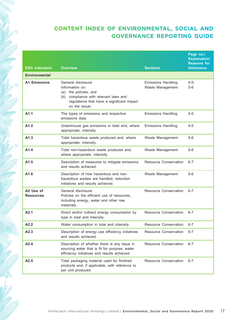| <b>ESG Indicators</b>         | <b>Overview</b>                                                                                                                                                            |                                         | Page no./<br><b>Explanation/</b><br><b>Reasons for</b><br><b>Omissions</b> |
|-------------------------------|----------------------------------------------------------------------------------------------------------------------------------------------------------------------------|-----------------------------------------|----------------------------------------------------------------------------|
| <b>Environmental</b>          |                                                                                                                                                                            | <b>Sections</b>                         |                                                                            |
| <b>A1 Emissions</b>           | General disclosure<br>Information on:<br>(a) the policies; and<br>compliance with relevant laws and<br>(b)<br>regulations that have a significant impact<br>on the issuer. | Emissions Handling;<br>Waste Management | $4-5$ ;<br>$5-6$                                                           |
| A1.1                          | The types of emissions and respective<br>emissions data.                                                                                                                   | <b>Emissions Handling</b>               | $4 - 5$                                                                    |
| A1.2                          | Greenhouse gas emissions in total and, where<br>appropriate, intensity.                                                                                                    | <b>Emissions Handling</b>               | 4-5                                                                        |
| A1.3                          | Total hazardous waste produced and, where<br>appropriate, intensity.                                                                                                       | Waste Management                        | $5-6$                                                                      |
| A1.4                          | Total non-hazardous waste produced and,<br>where appropriate, intensity.                                                                                                   | Waste Management                        | $5-6$                                                                      |
| A1.5                          | Description of measures to mitigate emissions<br>and results achieved.                                                                                                     | Resource Conservation                   | $6 - 7$                                                                    |
| A1.6                          | Description of how hazardous and non-<br>hazardous wastes are handled, reduction<br>initiatives and results achieved.                                                      | Waste Management                        | $5-6$                                                                      |
| A2 Use of<br><b>Resources</b> | General disclosure<br>Policies on the efficient use of resources,<br>including energy, water and other raw<br>materials.                                                   | Resource Conservation                   | $6 - 7$                                                                    |
| A2.1                          | Direct and/or indirect energy consumption by<br>type in total and intensity.                                                                                               | Resource Conservation                   | $6 - 7$                                                                    |
| A2.2                          | Water consumption in total and intensity.                                                                                                                                  | Resource Conservation                   | $6 - 7$                                                                    |
| A2.3                          | Description of energy use efficiency initiatives<br>and results achieved.                                                                                                  | Resource Conservation                   | $6 - 7$                                                                    |
| A2.4                          | Description of whether there is any issue in<br>sourcing water that is fit for purpose, water<br>efficiency initiatives and results achieved.                              | Resource Conservation                   | $6 - 7$                                                                    |
| A2.5                          | Total packaging material used for finished<br>products and, if applicable, with reference to<br>per unit produced.                                                         | Resource Conservation                   | $6 - 7$                                                                    |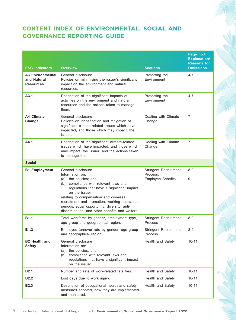| <b>ESG Indicators</b>                               | <b>Overview</b>                                                                                                                                                                                                                                                                                                                                  | <b>Sections</b>                         | Page no./<br><b>Explanation/</b><br><b>Reasons for</b><br><b>Omissions</b> |
|-----------------------------------------------------|--------------------------------------------------------------------------------------------------------------------------------------------------------------------------------------------------------------------------------------------------------------------------------------------------------------------------------------------------|-----------------------------------------|----------------------------------------------------------------------------|
| <b>A3 Environmental</b><br>and Natural<br>Resources | General disclosure<br>Policies on minimising the issuer's significant<br>impact on the environment and natural<br>resources.                                                                                                                                                                                                                     | Protecting the<br>Environment           | $4 - 7$                                                                    |
| A3.1                                                | Description of the significant impacts of<br>activities on the environment and natural<br>resources and the actions taken to manage<br>them.                                                                                                                                                                                                     | Protecting the<br>Environment           | $4 - 7$                                                                    |
| A4 Climate<br>Change                                | General disclosure<br>Policies on identification and mitigation of<br>significant climate-related issues which have<br>impacted, and those which may impact, the<br>issuer.                                                                                                                                                                      | Dealing with Climate<br>Change          | 7                                                                          |
| A4.1                                                | Description of the significant climate-related<br>issues which have impacted, and those which<br>may impact, the issuer, and the actions taken<br>to manage them.                                                                                                                                                                                | Dealing with Climate<br>Change          | $\overline{7}$                                                             |
| <b>Social</b>                                       |                                                                                                                                                                                                                                                                                                                                                  |                                         |                                                                            |
| <b>B1 Employment</b>                                | General disclosure                                                                                                                                                                                                                                                                                                                               | Stringent Recruitment                   | $8-9$ ;                                                                    |
|                                                     | Information on:<br>(a) the policies; and<br>(b) compliance with relevant laws and<br>regulations that have a significant impact<br>on the issuer<br>relating to compensation and dismissal,<br>recruitment and promotion, working hours, rest<br>periods, equal opportunity, diversity, anti-<br>discrimination, and other benefits and welfare. | Process;<br><b>Employee Benefits</b>    | 9                                                                          |
| <b>B1.1</b>                                         | Total workforce by gender, employment type,<br>age group and geographical region.                                                                                                                                                                                                                                                                | <b>Stringent Recruitment</b><br>Process | $8 - 9$                                                                    |
| B1.2                                                | Employee turnover rate by gender, age group<br>and geographical region.                                                                                                                                                                                                                                                                          | Stringent Recruitment<br>Process        | 8-9                                                                        |
| <b>B2 Health and</b><br><b>Safety</b>               | General disclosure<br>Information on:<br>the policies; and<br>(a)<br>compliance with relevant laws and<br>(b)<br>regulations that have a significant impact<br>on the issuer.                                                                                                                                                                    | Health and Safety                       | $10 - 11$                                                                  |
| <b>B2.1</b>                                         | Number and rate of work-related fatalities.                                                                                                                                                                                                                                                                                                      | Health and Safety                       | $10 - 11$                                                                  |
| <b>B2.2</b>                                         | Lost days due to work injury.                                                                                                                                                                                                                                                                                                                    | Health and Safety                       | $10 - 11$                                                                  |
| <b>B2.3</b>                                         | Description of occupational health and safety<br>measures adopted, how they are implemented<br>and monitored.                                                                                                                                                                                                                                    | Health and Safety                       | $10 - 11$                                                                  |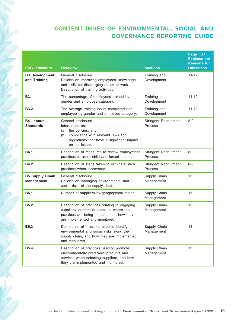| <b>ESG Indicators</b>                       | <b>Overview</b>                                                                                                                                                            | <b>Sections</b>                         | Page no./<br><b>Explanation/</b><br><b>Reasons for</b><br><b>Omissions</b> |
|---------------------------------------------|----------------------------------------------------------------------------------------------------------------------------------------------------------------------------|-----------------------------------------|----------------------------------------------------------------------------|
| <b>B3 Development</b><br>and Training       | General disclosure<br>Policies on improving employees' knowledge<br>and skills for discharging duties at work.<br>Description of training activities.                      | Training and<br>Development             | $11 - 12$                                                                  |
| <b>B3.1</b>                                 | The percentage of employees trained by<br>gender and employee category.                                                                                                    | Training and<br>Development             | $11 - 12$                                                                  |
| <b>B3.2</b>                                 | The average training hours completed per<br>employee by gender and employee category.                                                                                      | Training and<br>Development             | $11 - 12$                                                                  |
| <b>B4 Labour</b><br><b>Standards</b>        | General disclosure<br>Information on:<br>(a) the policies; and<br>compliance with relevant laws and<br>(b)<br>regulations that have a significant impact<br>on the issuer. | <b>Stringent Recruitment</b><br>Process | $8 - 9$                                                                    |
| <b>B4.1</b>                                 | Description of measures to review employment<br>practices to avoid child and forced labour.                                                                                | <b>Stringent Recruitment</b><br>Process | $8 - 9$                                                                    |
| <b>B4.2</b>                                 | Description of steps taken to eliminate such<br>practices when discovered.                                                                                                 | Stringent Recruitment<br>Process        | $8 - 9$                                                                    |
| <b>B5 Supply Chain</b><br><b>Management</b> | General disclosure<br>Policies on managing environmental and<br>social risks of the supply chain.                                                                          | Supply Chain<br>Management              | 13                                                                         |
| <b>B5.1</b>                                 | Number of suppliers by geographical region.                                                                                                                                | Supply Chain<br>Management              | 13                                                                         |
| <b>B5.2</b>                                 | Description of practices relating to engaging<br>suppliers, number of suppliers where the<br>practices are being implemented, how they<br>are implemented and monitored.   | Supply Chain<br>Management              | 13                                                                         |
| <b>B5.3</b>                                 | Description of practices used to identify<br>environmental and social risks along the<br>supply chain, and how they are implemented<br>and monitored.                      | Supply Chain<br>Management              | 13                                                                         |
| <b>B5.4</b>                                 | Description of practices used to promote<br>environmentally preferable products and<br>services when selecting suppliers, and how<br>they are implemented and monitored.   | Supply Chain<br>Management              | 13                                                                         |